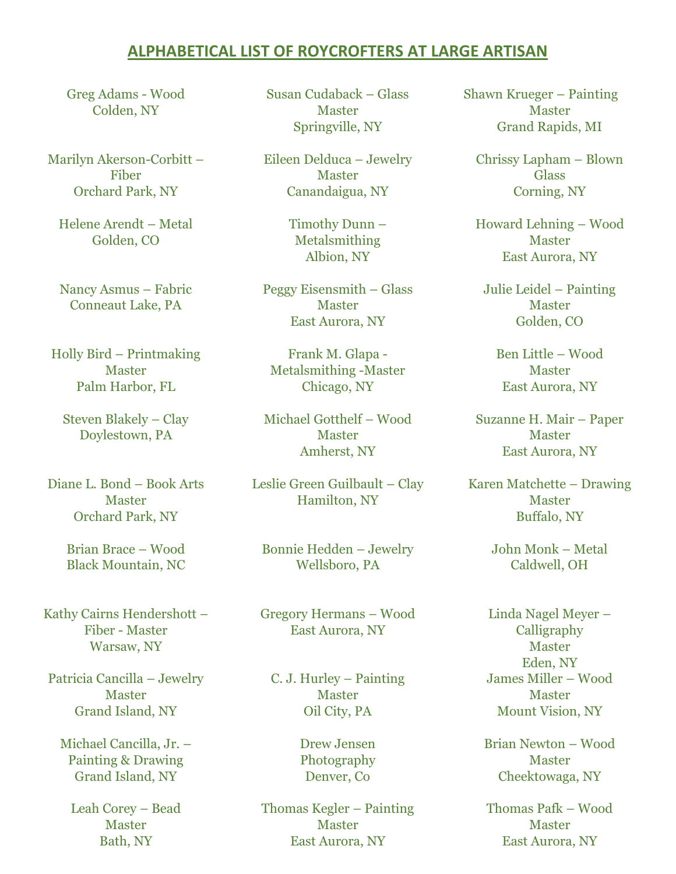## **ALPHABETICAL LIST OF ROYCROFTERS AT LARGE ARTISAN**

Greg Adams - Wood Colden, NY

Marilyn Akerson-Corbitt – Fiber Orchard Park, NY

Helene Arendt – Metal Golden, CO

Nancy Asmus – Fabric Conneaut Lake, PA

Holly Bird – Printmaking Master Palm Harbor, FL

Steven Blakely – Clay Doylestown, PA

Diane L. Bond – Book Arts **Master** Orchard Park, NY

> Brian Brace – Wood Black Mountain, NC

Kathy Cairns Hendershott – Fiber - Master Warsaw, NY

Patricia Cancilla – Jewelry **Master** Grand Island, NY

Michael Cancilla, Jr. – Painting & Drawing Grand Island, NY

Leah Corey – Bead Master Bath, NY

Susan Cudaback – Glass Master Springville, NY

Eileen Delduca – Jewelry Master Canandaigua, NY

> Timothy Dunn – Metalsmithing Albion, NY

Peggy Eisensmith – Glass Master East Aurora, NY

Frank M. Glapa - Metalsmithing -Master Chicago, NY

Michael Gotthelf – Wood Master Amherst, NY

Leslie Green Guilbault – Clay Hamilton, NY

Bonnie Hedden – Jewelry Wellsboro, PA

Gregory Hermans – Wood East Aurora, NY

C. J. Hurley – Painting Master Oil City, PA

> Drew Jensen Photography Denver, Co

Thomas Kegler – Painting Master East Aurora, NY

Shawn Krueger – Painting Master Grand Rapids, MI

Chrissy Lapham – Blown Glass Corning, NY

Howard Lehning – Wood Master East Aurora, NY

Julie Leidel – Painting Master Golden, CO

Ben Little – Wood Master East Aurora, NY

Suzanne H. Mair – Paper Master East Aurora, NY

Karen Matchette – Drawing Master Buffalo, NY

> John Monk – Metal Caldwell, OH

Linda Nagel Meyer – Calligraphy Master Eden, NY James Miller – Wood Master Mount Vision, NY

Brian Newton – Wood Master Cheektowaga, NY

Thomas Pafk – Wood Master East Aurora, NY